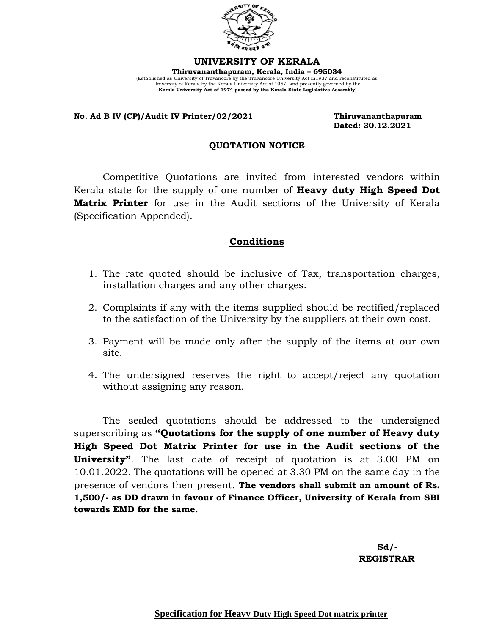

**UNIVERSITY OF KERALA Thiruvananthapuram, Kerala, India – 695034**  (Established as University of Travancore by the Travancore University Act in1937 and reconstituted as University of Kerala by the Kerala University Act of 1957 and presently governed by the **Kerala University Act of 1974 passed by the Kerala State Legislative Assembly)**

## **No. Ad B IV (CP)/Audit IV Printer/02/2021 Thiruvananthapuram**

 **Dated: 30.12.2021**

## **QUOTATION NOTICE**

Competitive Quotations are invited from interested vendors within Kerala state for the supply of one number of **Heavy duty High Speed Dot Matrix Printer** for use in the Audit sections of the University of Kerala (Specification Appended).

## **Conditions**

- 1. The rate quoted should be inclusive of Tax, transportation charges, installation charges and any other charges.
- 2. Complaints if any with the items supplied should be rectified/replaced to the satisfaction of the University by the suppliers at their own cost.
- 3. Payment will be made only after the supply of the items at our own site.
- 4. The undersigned reserves the right to accept/reject any quotation without assigning any reason.

The sealed quotations should be addressed to the undersigned superscribing as **"Quotations for the supply of one number of Heavy duty High Speed Dot Matrix Printer for use in the Audit sections of the University"**. The last date of receipt of quotation is at 3.00 PM on 10.01.2022. The quotations will be opened at 3.30 PM on the same day in the presence of vendors then present. **The vendors shall submit an amount of Rs. 1,500/- as DD drawn in favour of Finance Officer, University of Kerala from SBI towards EMD for the same.**

 **Sd/- REGISTRAR**

**Specification for Heavy Duty High Speed Dot matrix printer**